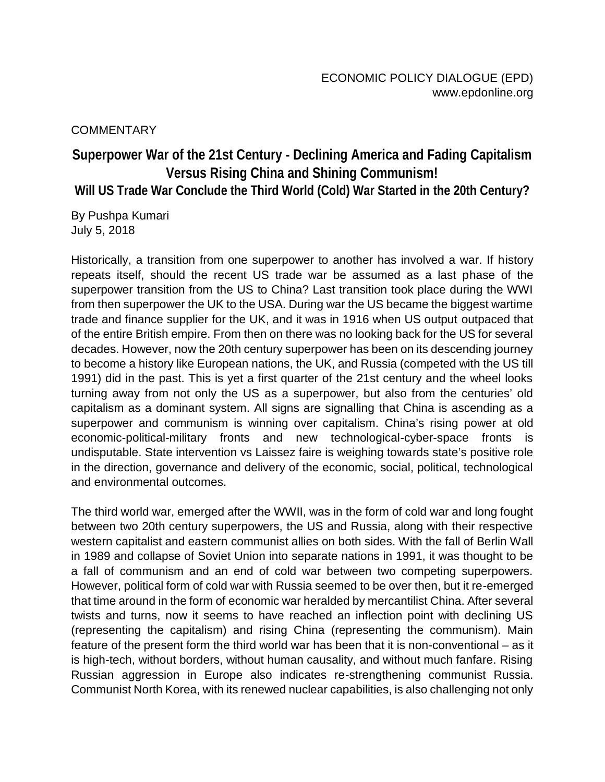**COMMENTARY** 

## **Superpower War of the 21st Century - Declining America and Fading Capitalism Versus Rising China and Shining Communism! Will US Trade War Conclude the Third World (Cold) War Started in the 20th Century?**

By Pushpa Kumari July 5, 2018

Historically, a transition from one superpower to another has involved a war. If history repeats itself, should the recent US trade war be assumed as a last phase of the superpower transition from the US to China? Last transition took place during the WWI from then superpower the UK to the USA. During war the US became the biggest wartime trade and finance supplier for the UK, and it was in 1916 when US output outpaced that of the entire British empire. From then on there was no looking back for the US for several decades. However, now the 20th century superpower has been on its descending journey to become a history like European nations, the UK, and Russia (competed with the US till 1991) did in the past. This is yet a first quarter of the 21st century and the wheel looks turning away from not only the US as a superpower, but also from the centuries' old capitalism as a dominant system. All signs are signalling that China is ascending as a superpower and communism is winning over capitalism. China's rising power at old economic-political-military fronts and new technological-cyber-space fronts is undisputable. State intervention vs Laissez faire is weighing towards state's positive role in the direction, governance and delivery of the economic, social, political, technological and environmental outcomes.

The third world war, emerged after the WWII, was in the form of cold war and long fought between two 20th century superpowers, the US and Russia, along with their respective western capitalist and eastern communist allies on both sides. With the fall of Berlin Wall in 1989 and collapse of Soviet Union into separate nations in 1991, it was thought to be a fall of communism and an end of cold war between two competing superpowers. However, political form of cold war with Russia seemed to be over then, but it re-emerged that time around in the form of economic war heralded by mercantilist China. After several twists and turns, now it seems to have reached an inflection point with declining US (representing the capitalism) and rising China (representing the communism). Main feature of the present form the third world war has been that it is non-conventional – as it is high-tech, without borders, without human causality, and without much fanfare. Rising Russian aggression in Europe also indicates re-strengthening communist Russia. Communist North Korea, with its renewed nuclear capabilities, is also challenging not only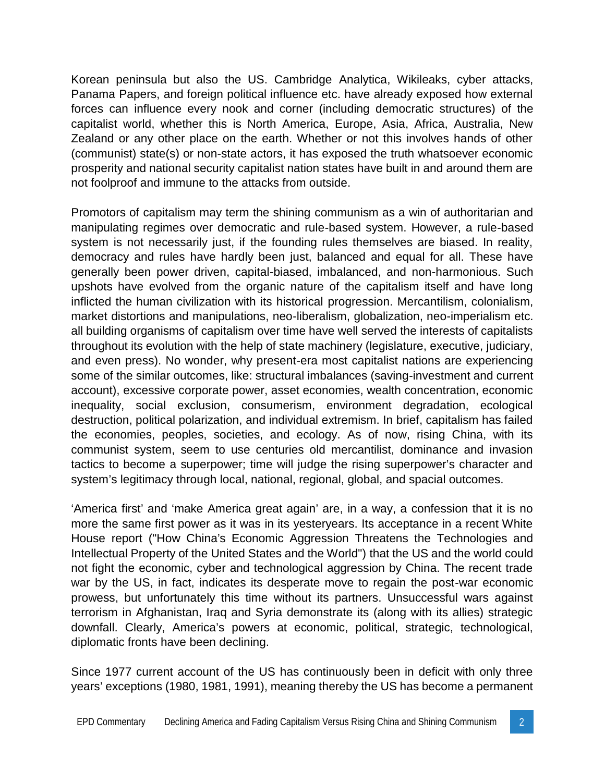Korean peninsula but also the US. Cambridge Analytica, Wikileaks, cyber attacks, Panama Papers, and foreign political influence etc. have already exposed how external forces can influence every nook and corner (including democratic structures) of the capitalist world, whether this is North America, Europe, Asia, Africa, Australia, New Zealand or any other place on the earth. Whether or not this involves hands of other (communist) state(s) or non-state actors, it has exposed the truth whatsoever economic prosperity and national security capitalist nation states have built in and around them are not foolproof and immune to the attacks from outside.

Promotors of capitalism may term the shining communism as a win of authoritarian and manipulating regimes over democratic and rule-based system. However, a rule-based system is not necessarily just, if the founding rules themselves are biased. In reality, democracy and rules have hardly been just, balanced and equal for all. These have generally been power driven, capital-biased, imbalanced, and non-harmonious. Such upshots have evolved from the organic nature of the capitalism itself and have long inflicted the human civilization with its historical progression. Mercantilism, colonialism, market distortions and manipulations, neo-liberalism, globalization, neo-imperialism etc. all building organisms of capitalism over time have well served the interests of capitalists throughout its evolution with the help of state machinery (legislature, executive, judiciary, and even press). No wonder, why present-era most capitalist nations are experiencing some of the similar outcomes, like: structural imbalances (saving-investment and current account), excessive corporate power, asset economies, wealth concentration, economic inequality, social exclusion, consumerism, environment degradation, ecological destruction, political polarization, and individual extremism. In brief, capitalism has failed the economies, peoples, societies, and ecology. As of now, rising China, with its communist system, seem to use centuries old mercantilist, dominance and invasion tactics to become a superpower; time will judge the rising superpower's character and system's legitimacy through local, national, regional, global, and spacial outcomes.

'America first' and 'make America great again' are, in a way, a confession that it is no more the same first power as it was in its yesteryears. Its acceptance in a recent White House report ("How China's Economic Aggression Threatens the Technologies and Intellectual Property of the United States and the World") that the US and the world could not fight the economic, cyber and technological aggression by China. The recent trade war by the US, in fact, indicates its desperate move to regain the post-war economic prowess, but unfortunately this time without its partners. Unsuccessful wars against terrorism in Afghanistan, Iraq and Syria demonstrate its (along with its allies) strategic downfall. Clearly, America's powers at economic, political, strategic, technological, diplomatic fronts have been declining.

Since 1977 current account of the US has continuously been in deficit with only three years' exceptions (1980, 1981, 1991), meaning thereby the US has become a permanent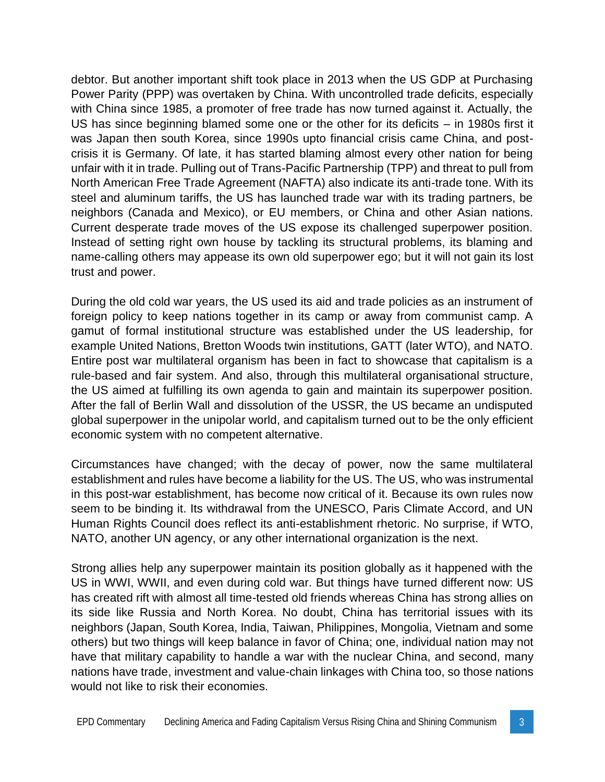debtor. But another important shift took place in 2013 when the US GDP at Purchasing Power Parity (PPP) was overtaken by China. With uncontrolled trade deficits, especially with China since 1985, a promoter of free trade has now turned against it. Actually, the US has since beginning blamed some one or the other for its deficits – in 1980s first it was Japan then south Korea, since 1990s upto financial crisis came China, and post crisis it is Germany. Of late, it has started blaming almost every other nation for being unfair with it in trade. Pulling out of Trans-Pacific Partnership (TPP) and threat to pull from North American Free Trade Agreement (NAFTA) also indicate its anti-trade tone. With its steel and aluminum tariffs, the US has launched trade war with its trading partners, be neighbors (Canada and Mexico), or EU members, or China and other Asian nations. Current desperate trade moves of the US expose its challenged superpower position. Instead of setting right own house by tackling its structural problems, its blaming and name-calling others may appease its own old superpower ego; but it will not gain its lost trust and power.

During the old cold war years, the US used its aid and trade policies as an instrument of foreign policy to keep nations together in its camp or away from communist camp. A gamut of formal institutional structure was established under the US leadership, for example United Nations, Bretton Woods twin institutions, GATT (later WTO), and NATO. Entire post war multilateral organism has been in fact to showcase that capitalism is a rule-based and fair system. And also, through this multilateral organisational structure, the US aimed at fulfilling its own agenda to gain and maintain its superpower position. After the fall of Berlin Wall and dissolution of the USSR, the US became an undisputed global superpower in the unipolar world, and capitalism turned out to be the only efficient economic system with no competent alternative.

Circumstances have changed; with the decay of power, now the same multilateral establishment and rules have become a liability for the US. The US, who was instrumental in this post-war establishment, has become now critical of it. Because its own rules now seem to be binding it. Its withdrawal from the UNESCO, Paris Climate Accord, and UN Human Rights Council does reflect its anti-establishment rhetoric. No surprise, if WTO, NATO, another UN agency, or any other international organization is the next.

Strong allies help any superpower maintain its position globally as it happened with the US in WWI, WWII, and even during cold war. But things have turned different now: US has created rift with almost all time-tested old friends whereas China has strong allies on its side like Russia and North Korea. No doubt, China has territorial issues with its neighbors (Japan, South Korea, India, Taiwan, Philippines, Mongolia, Vietnam and some others) but two things will keep balance in favor of China; one, individual nation may not have that military capability to handle a war with the nuclear China, and second, many nations have trade, investment and value-chain linkages with China too, so those nations would not like to risk their economies.